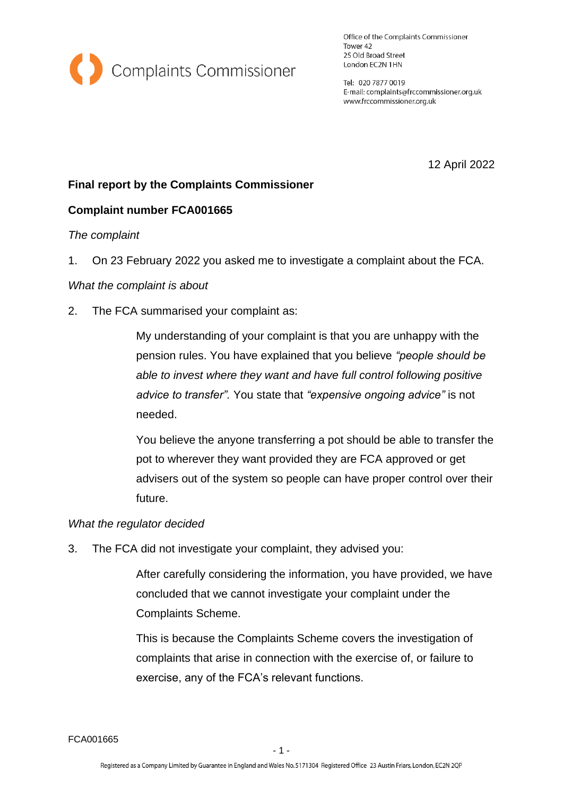

Office of the Complaints Commissioner Tower 42 25 Old Broad Street London EC2N 1HN

Tel: 020 7877 0019 E-mail: complaints@frccommissioner.org.uk www.frccommissioner.org.uk

12 April 2022

# **Final report by the Complaints Commissioner**

## **Complaint number FCA001665**

### *The complaint*

1. On 23 February 2022 you asked me to investigate a complaint about the FCA.

### *What the complaint is about*

2. The FCA summarised your complaint as:

My understanding of your complaint is that you are unhappy with the pension rules. You have explained that you believe *"people should be able to invest where they want and have full control following positive advice to transfer".* You state that *"expensive ongoing advice"* is not needed.

You believe the anyone transferring a pot should be able to transfer the pot to wherever they want provided they are FCA approved or get advisers out of the system so people can have proper control over their future.

### *What the regulator decided*

3. The FCA did not investigate your complaint, they advised you:

After carefully considering the information, you have provided, we have concluded that we cannot investigate your complaint under the Complaints Scheme.

This is because the Complaints Scheme covers the investigation of complaints that arise in connection with the exercise of, or failure to exercise, any of the FCA's relevant functions.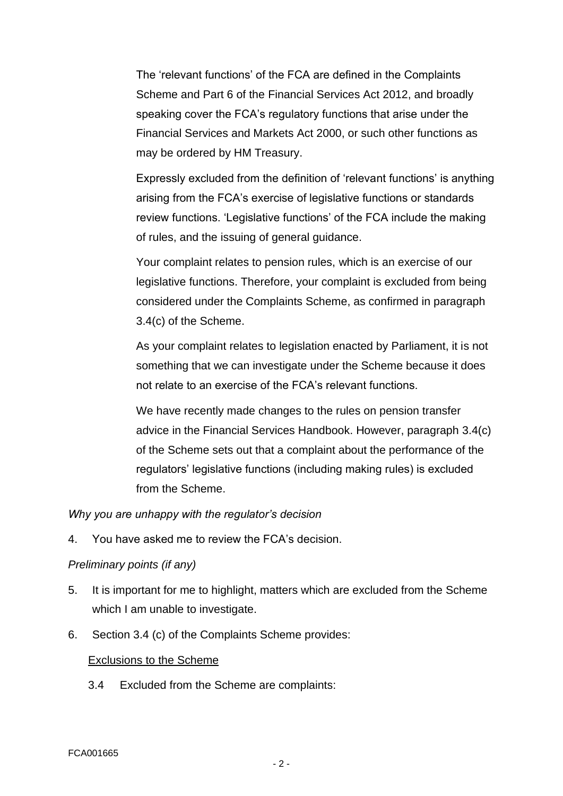The 'relevant functions' of the FCA are defined in the Complaints Scheme and Part 6 of the Financial Services Act 2012, and broadly speaking cover the FCA's regulatory functions that arise under the Financial Services and Markets Act 2000, or such other functions as may be ordered by HM Treasury.

Expressly excluded from the definition of 'relevant functions' is anything arising from the FCA's exercise of legislative functions or standards review functions. 'Legislative functions' of the FCA include the making of rules, and the issuing of general guidance.

Your complaint relates to pension rules, which is an exercise of our legislative functions. Therefore, your complaint is excluded from being considered under the Complaints Scheme, as confirmed in paragraph 3.4(c) of the Scheme.

As your complaint relates to legislation enacted by Parliament, it is not something that we can investigate under the Scheme because it does not relate to an exercise of the FCA's relevant functions.

We have recently made changes to the rules on pension transfer advice in the Financial Services Handbook. However, paragraph 3.4(c) of the Scheme sets out that a complaint about the performance of the regulators' legislative functions (including making rules) is excluded from the Scheme.

*Why you are unhappy with the regulator's decision*

4. You have asked me to review the FCA's decision.

## *Preliminary points (if any)*

- 5. It is important for me to highlight, matters which are excluded from the Scheme which I am unable to investigate.
- 6. Section 3.4 (c) of the Complaints Scheme provides:

### Exclusions to the Scheme

3.4 Excluded from the Scheme are complaints: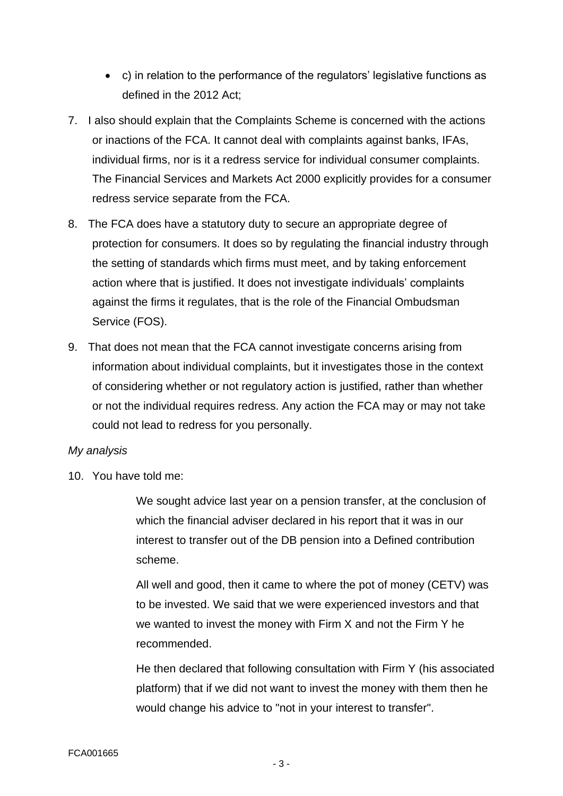- c) in relation to the performance of the regulators' legislative functions as defined in the 2012 Act;
- 7. I also should explain that the Complaints Scheme is concerned with the actions or inactions of the FCA. It cannot deal with complaints against banks, IFAs, individual firms, nor is it a redress service for individual consumer complaints. The Financial Services and Markets Act 2000 explicitly provides for a consumer redress service separate from the FCA.
- 8. The FCA does have a statutory duty to secure an appropriate degree of protection for consumers. It does so by regulating the financial industry through the setting of standards which firms must meet, and by taking enforcement action where that is justified. It does not investigate individuals' complaints against the firms it regulates, that is the role of the Financial Ombudsman Service (FOS).
- 9. That does not mean that the FCA cannot investigate concerns arising from information about individual complaints, but it investigates those in the context of considering whether or not regulatory action is justified, rather than whether or not the individual requires redress. Any action the FCA may or may not take could not lead to redress for you personally.

### *My analysis*

10. You have told me:

We sought advice last year on a pension transfer, at the conclusion of which the financial adviser declared in his report that it was in our interest to transfer out of the DB pension into a Defined contribution scheme.

All well and good, then it came to where the pot of money (CETV) was to be invested. We said that we were experienced investors and that we wanted to invest the money with Firm X and not the Firm Y he recommended.

He then declared that following consultation with Firm Y (his associated platform) that if we did not want to invest the money with them then he would change his advice to "not in your interest to transfer".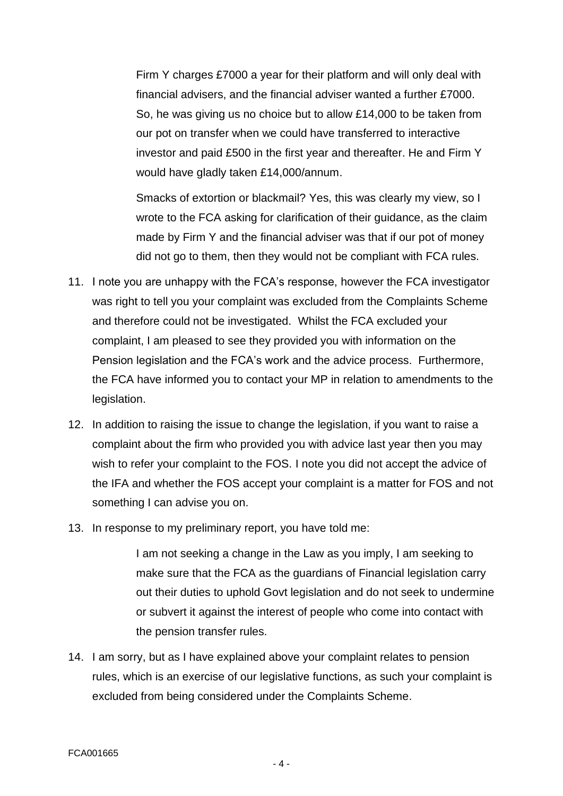Firm Y charges £7000 a year for their platform and will only deal with financial advisers, and the financial adviser wanted a further £7000. So, he was giving us no choice but to allow £14,000 to be taken from our pot on transfer when we could have transferred to interactive investor and paid £500 in the first year and thereafter. He and Firm Y would have gladly taken £14,000/annum.

Smacks of extortion or blackmail? Yes, this was clearly my view, so I wrote to the FCA asking for clarification of their guidance, as the claim made by Firm Y and the financial adviser was that if our pot of money did not go to them, then they would not be compliant with FCA rules.

- 11. I note you are unhappy with the FCA's response, however the FCA investigator was right to tell you your complaint was excluded from the Complaints Scheme and therefore could not be investigated. Whilst the FCA excluded your complaint, I am pleased to see they provided you with information on the Pension legislation and the FCA's work and the advice process. Furthermore, the FCA have informed you to contact your MP in relation to amendments to the legislation.
- 12. In addition to raising the issue to change the legislation, if you want to raise a complaint about the firm who provided you with advice last year then you may wish to refer your complaint to the FOS. I note you did not accept the advice of the IFA and whether the FOS accept your complaint is a matter for FOS and not something I can advise you on.
- 13. In response to my preliminary report, you have told me:

I am not seeking a change in the Law as you imply, I am seeking to make sure that the FCA as the guardians of Financial legislation carry out their duties to uphold Govt legislation and do not seek to undermine or subvert it against the interest of people who come into contact with the pension transfer rules.

14. I am sorry, but as I have explained above your complaint relates to pension rules, which is an exercise of our legislative functions, as such your complaint is excluded from being considered under the Complaints Scheme.